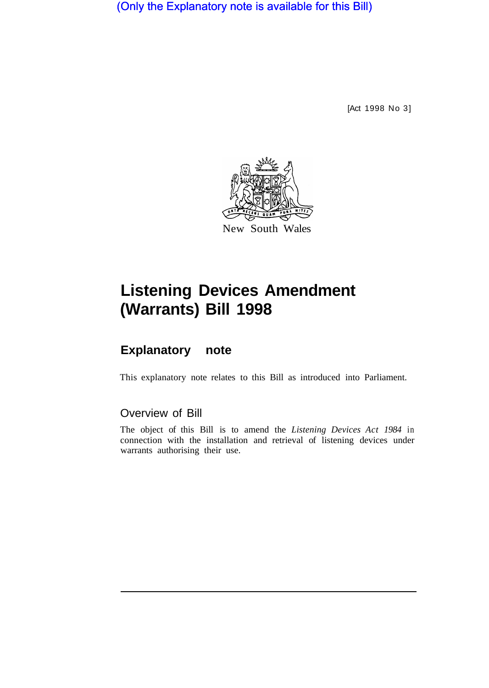(Only the Explanatory note is available for this Bill)

[Act 1998 No 3]



## **Listening Devices Amendment (Warrants) Bill 1998**

## **Explanatory note**

This explanatory note relates to this Bill as introduced into Parliament.

## Overview of Bill

The object of this Bill is to amend the *Listening Devices Act 1984* in connection with the installation and retrieval of listening devices under warrants authorising their use.